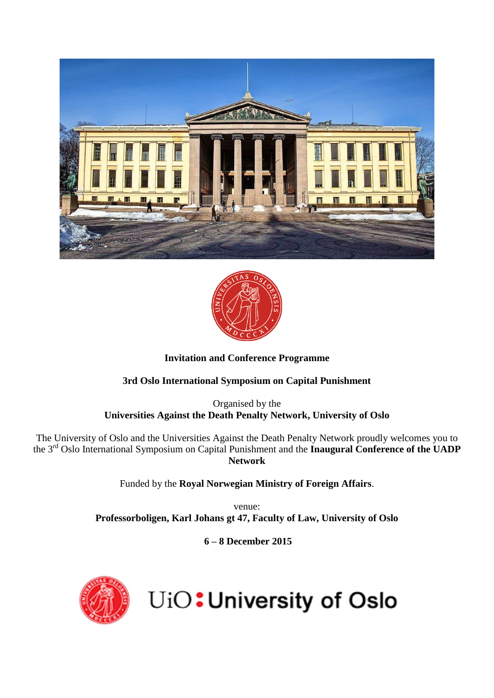



#### **Invitation and Conference Programme**

#### **3rd Oslo International Symposium on Capital Punishment**

Organised by the **Universities Against the Death Penalty Network, University of Oslo** 

The University of Oslo and the Universities Against the Death Penalty Network proudly welcomes you to the 3 rd Oslo International Symposium on Capital Punishment and the **Inaugural Conference of the UADP Network**

Funded by the **Royal Norwegian Ministry of Foreign Affairs**.

venue: **Professorboligen, Karl Johans gt 47, Faculty of Law, University of Oslo**

**6 – 8 December 2015**



# UiO: University of Oslo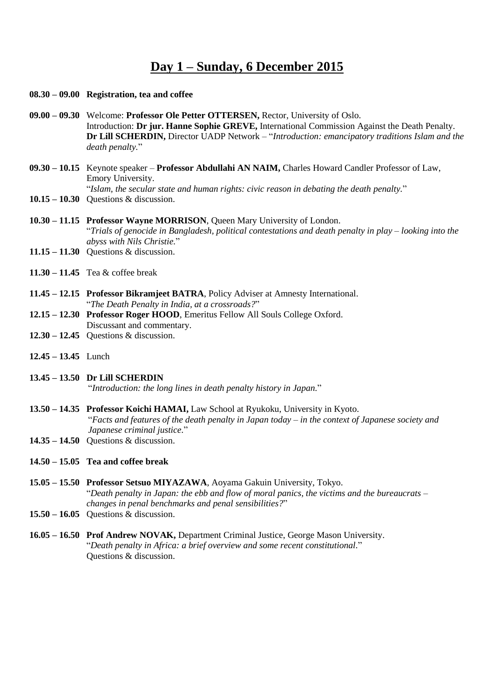### **Day 1 – Sunday, 6 December 2015**

- **08.30 – 09.00 Registration, tea and coffee**
- **09.00 – 09.30** Welcome: **Professor Ole Petter OTTERSEN,** Rector, University of Oslo. Introduction: **Dr jur. Hanne Sophie GREVE,** International Commission Against the Death Penalty. **Dr Lill SCHERDIN,** Director UADP Network – "*Introduction: emancipatory traditions Islam and the death penalty.*"
- **09.30 – 10.15** Keynote speaker **Professor Abdullahi AN NAIM,** Charles Howard Candler Professor of Law, Emory University. "*Islam, the secular state and human rights: civic reason in debating the death penalty.*"
- **10.15 – 10.30** Questions & discussion.
- **10.30 – 11.15 Professor Wayne MORRISON**, Queen Mary University of London. "*Trials of genocide in Bangladesh, political contestations and death penalty in play – looking into the abyss with Nils Christie.*"
- **11.15 – 11.30** Questions & discussion.
- **11.30 – 11.45** Tea & coffee break
- **11.45 – 12.15 Professor Bikramjeet BATRA**, Policy Adviser at Amnesty International. "*The Death Penalty in India, at a crossroads?*"
- **12.15 – 12.30 Professor Roger HOOD**, Emeritus Fellow All Souls College Oxford. Discussant and commentary.
- **12.30 – 12.45** Questions & discussion.
- **12.45 – 13.45** Lunch
- **13.45 – 13.50 Dr Lill SCHERDIN** "*Introduction: the long lines in death penalty history in Japan.*"
- **13.50 – 14.35 Professor Koichi HAMAI,** Law School at Ryukoku, University in Kyoto."*Facts and features of the death penalty in Japan today – in the context of Japanese society and Japanese criminal justice.*"
- **14.35 – 14.50** Questions & discussion.
- **14.50 – 15.05 Tea and coffee break**
- **15.05 – 15.50 Professor Setsuo MIYAZAWA**, Aoyama Gakuin University, Tokyo. "*Death penalty in Japan: the ebb and flow of moral panics, the victims and the bureaucrats – changes in penal benchmarks and penal sensibilities?*"
- **15.50 – 16.05** Questions & discussion.
- **16.05 – 16.50 Prof Andrew NOVAK,** Department Criminal Justice, George Mason University. "*Death penalty in Africa: a brief overview and some recent constitutional.*" Questions & discussion.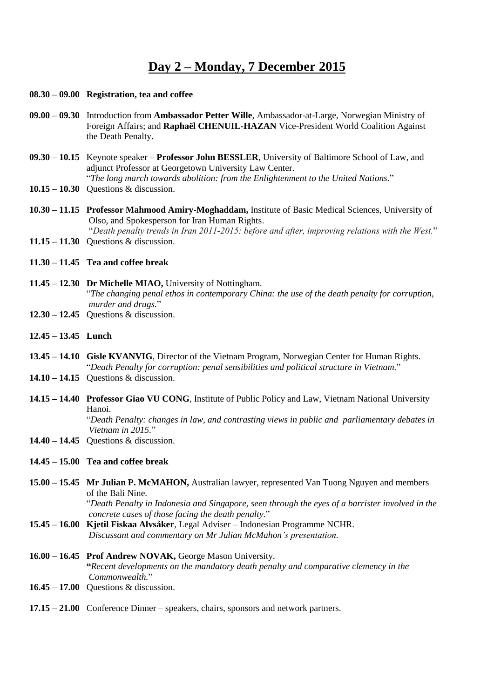## **Day 2 – Monday, 7 December 2015**

- **08.30 – 09.00 Registration, tea and coffee**
- **09.00 – 09.30** Introduction from **Ambassador Petter Wille**, Ambassador-at-Large, Norwegian Ministry of Foreign Affairs; and **Raphaël CHENUIL-HAZAN** Vice-President World Coalition Against the Death Penalty.
- **09.30 – 10.15** Keynote speaker **– Professor John BESSLER**, University of Baltimore School of Law, and adjunct Professor at Georgetown University Law Center. "*The long march towards abolition: from the Enlightenment to the United Nations.*"
- **10.15 – 10.30** Questions & discussion.
- **10.30 – 11.15 Professor Mahmood Amiry-Moghaddam,** Institute of Basic Medical Sciences, University of Olso, and Spokesperson for Iran Human Rights. "*Death penalty trends in Iran 2011-2015: before and after, improving relations with the West.*"
- **11.15 – 11.30** Questions & discussion.
- **11.30 – 11.45 Tea and coffee break**
- **11.45 – 12.30 Dr Michelle MIAO,** University of Nottingham. "*The changing penal ethos in contemporary China: the use of the death penalty for corruption, murder and drugs.*" **12.30 – 12.45** Ouestions & discussion.
- 
- **12.45 – 13.45 Lunch**
- **13.45 – 14.10 Gisle KVANVIG**, Director of the Vietnam Program, Norwegian Center for Human Rights. "*Death Penalty for corruption: penal sensibilities and political structure in Vietnam.*"
- **14.10 – 14.15** Questions & discussion.
- **14.15 – 14.40 Professor Giao VU CONG**, Institute of Public Policy and Law, Vietnam National University Hanoi. "*Death Penalty: changes in law, and contrasting views in public and parliamentary debates in Vietnam in 2015.*"
- **14.40 – 14.45** Questions & discussion.
- **14.45 – 15.00 Tea and coffee break**
- **15.00 – 15.45 Mr Julian P. McMAHON,** Australian lawyer, represented Van Tuong Nguyen and members of the Bali Nine. "*Death Penalty in Indonesia and Singapore, seen through the eyes of a barrister involved in the*
- *concrete cases of those facing the death penalty.*" **15.45 – 16.00 Kjetil Fiskaa Alvsåker**, Legal Adviser – Indonesian Programme NCHR. *Discussant and commentary on Mr Julian McMahon's presentation.*
- **16.00 – 16.45 Prof Andrew NOVAK,** George Mason University.  **"***Recent developments on the mandatory death penalty and comparative clemency in the Commonwealth.*"
- **16.45 – 17.00** Questions & discussion.
- **17.15 – 21.00** Conference Dinner speakers, chairs, sponsors and network partners.